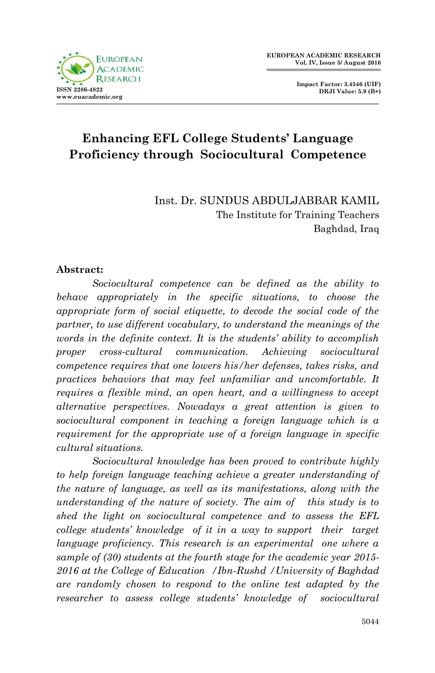**Impact Factor: 3.4546 (UIF) DRJI Value: 5.9 (B+)**

# **Enhancing EFL College Students' Language Proficiency through Sociocultural Competence**

Inst. Dr. SUNDUS ABDULJABBAR KAMIL The Institute for Training Teachers Baghdad, Iraq

### **Abstract:**

 *Sociocultural competence can be defined as the ability to behave appropriately in the specific situations, to choose the appropriate form of social etiquette, to decode the social code of the partner, to use different vocabulary, to understand the meanings of the words in the definite context. It is the students' ability to accomplish proper cross-cultural communication. Achieving sociocultural competence requires that one lowers his/her defenses, takes risks, and practices behaviors that may feel unfamiliar and uncomfortable. It requires a flexible mind, an open heart, and a willingness to accept alternative perspectives. Nowadays a great attention is given to sociocultural component in teaching a foreign language which is a requirement for the appropriate use of a foreign language in specific cultural situations.* 

*Sociocultural knowledge has been proved to contribute highly to help foreign language teaching achieve a greater understanding of the nature of language, as well as its manifestations, along with the understanding of the nature of society. The aim of this study is to shed the light on sociocultural competence and to assess the EFL college students' knowledge of it in a way to support their target language proficiency. This research is an experimental one where a sample of (30) students at the fourth stage for the academic year 2015- 2016 at the College of Education /Ibn-Rushd /University of Baghdad are randomly chosen to respond to the online test adapted by the researcher to assess college students' knowledge of sociocultural*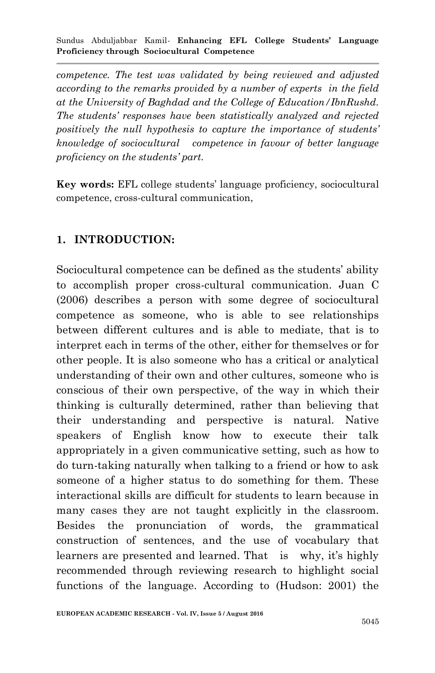*competence. The test was validated by being reviewed and adjusted according to the remarks provided by a number of experts in the field at the University of Baghdad and the College of Education/IbnRushd. The students' responses have been statistically analyzed and rejected positively the null hypothesis to capture the importance of students' knowledge of sociocultural competence in favour of better language proficiency on the students' part.*

**Key words:** EFL college students' language proficiency, sociocultural competence, cross-cultural communication,

## **1. INTRODUCTION:**

Sociocultural competence can be defined as the students' ability to accomplish proper cross-cultural communication. Juan C (2006) describes a person with some degree of sociocultural competence as someone, who is able to see relationships between different cultures and is able to mediate, that is to interpret each in terms of the other, either for themselves or for other people. It is also someone who has a critical or analytical understanding of their own and other cultures, someone who is conscious of their own perspective, of the way in which their thinking is culturally determined, rather than believing that their understanding and perspective is natural. Native speakers of English know how to execute their talk appropriately in a given communicative setting, such as how to do turn-taking naturally when talking to a friend or how to ask someone of a higher status to do something for them. These interactional skills are difficult for students to learn because in many cases they are not taught explicitly in the classroom. Besides the pronunciation of words, the grammatical construction of sentences, and the use of vocabulary that learners are presented and learned. That is why, it's highly recommended through reviewing research to highlight social functions of the language. According to (Hudson: 2001) the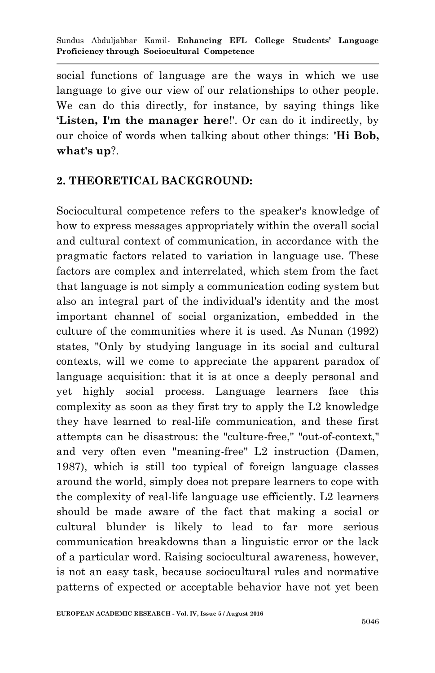social functions of language are the ways in which we use language to give our view of our relationships to other people. We can do this directly, for instance, by saying things like **'Listen, I'm the manager here**!'. Or can do it indirectly, by our choice of words when talking about other things: **'Hi Bob, what's up**?.

## **2. THEORETICAL BACKGROUND:**

Sociocultural competence refers to the speaker's knowledge of how to express messages appropriately within the overall social and cultural context of communication, in accordance with the pragmatic factors related to variation in language use. These factors are complex and interrelated, which stem from the fact that language is not simply a communication coding system but also an integral part of the individual's identity and the most important channel of social organization, embedded in the culture of the communities where it is used. As Nunan (1992) states, "Only by studying language in its social and cultural contexts, will we come to appreciate the apparent paradox of language acquisition: that it is at once a deeply personal and yet highly social process. Language learners face this complexity as soon as they first try to apply the L2 knowledge they have learned to real-life communication, and these first attempts can be disastrous: the "culture-free," "out-of-context," and very often even "meaning-free" L2 instruction (Damen, 1987), which is still too typical of foreign language classes around the world, simply does not prepare learners to cope with the complexity of real-life language use efficiently. L2 learners should be made aware of the fact that making a social or cultural blunder is likely to lead to far more serious communication breakdowns than a linguistic error or the lack of a particular word. Raising sociocultural awareness, however, is not an easy task, because sociocultural rules and normative patterns of expected or acceptable behavior have not yet been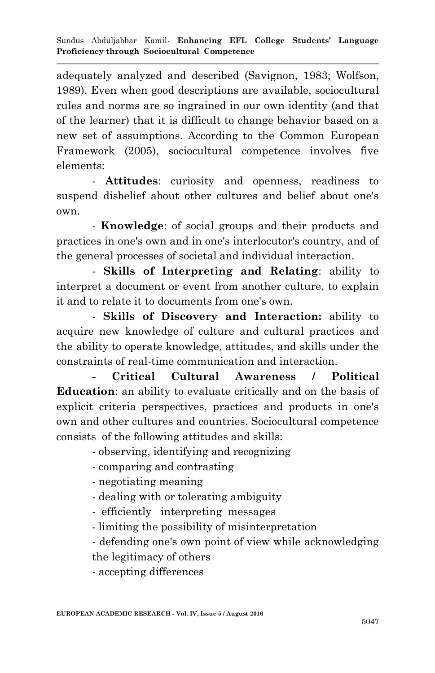adequately analyzed and described (Savignon, 1983; Wolfson, 1989). Even when good descriptions are available, sociocultural rules and norms are so ingrained in our own identity (and that of the learner) that it is difficult to change behavior based on a new set of assumptions. According to the Common European Framework (2005), sociocultural competence involves five elements:

- **Attitudes**: curiosity and openness, readiness to suspend disbelief about other cultures and belief about one's own.

- **Knowledge**: of social groups and their products and practices in one's own and in one's interlocutor's country, and of the general processes of societal and individual interaction.

- **Skills of Interpreting and Relating**: ability to interpret a document or event from another culture, to explain it and to relate it to documents from one's own.

- **Skills of Discovery and Interaction:** ability to acquire new knowledge of culture and cultural practices and the ability to operate knowledge, attitudes, and skills under the constraints of real-time communication and interaction.

**- Critical Cultural Awareness / Political Education**: an ability to evaluate critically and on the basis of explicit criteria perspectives, practices and products in one's own and other cultures and countries. Sociocultural competence consists of the following attitudes and skills:

- observing, identifying and recognizing

- comparing and contrasting

- negotiating meaning

- dealing with or tolerating ambiguity

- efficiently interpreting messages
- limiting the possibility of misinterpretation
- defending one's own point of view while acknowledging the legitimacy of others

- accepting differences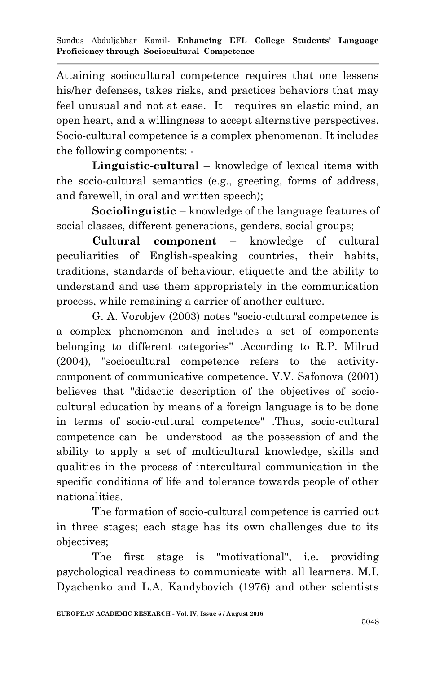Attaining sociocultural competence requires that one lessens his/her defenses, takes risks, and practices behaviors that may feel unusual and not at ease. It requires an elastic mind, an open heart, and a willingness to accept alternative perspectives. Socio-cultural competence is a complex phenomenon. It includes the following components: -

**Linguistic-cultural** – knowledge of lexical items with the socio-cultural semantics (e.g., greeting, forms of address, and farewell, in oral and written speech);

**Sociolinguistic** – knowledge of the language features of social classes, different generations, genders, social groups;

**Cultural component** – knowledge of cultural peculiarities of English-speaking countries, their habits, traditions, standards of behaviour, etiquette and the ability to understand and use them appropriately in the communication process, while remaining a carrier of another culture.

G. A. Vorobjev (2003) notes "socio-cultural competence is a complex phenomenon and includes a set of components belonging to different categories" .According to R.P. Milrud (2004), "sociocultural competence refers to the activitycomponent of communicative competence. V.V. Safonova (2001) believes that "didactic description of the objectives of sociocultural education by means of a foreign language is to be done in terms of socio-cultural competence" .Thus, socio-cultural competence can be understood as the possession of and the ability to apply a set of multicultural knowledge, skills and qualities in the process of intercultural communication in the specific conditions of life and tolerance towards people of other nationalities.

The formation of socio-cultural competence is carried out in three stages; each stage has its own challenges due to its objectives;

The first stage is "motivational", i.e. providing psychological readiness to communicate with all learners. M.I. Dyachenko and L.A. Kandybovich (1976) and other scientists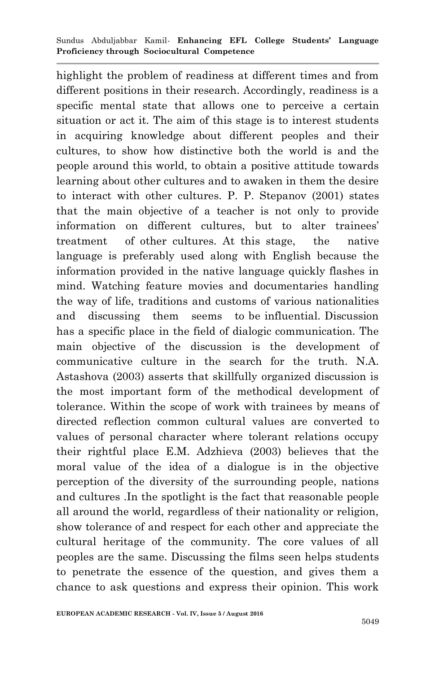highlight the problem of readiness at different times and from different positions in their research. Accordingly, readiness is a specific mental state that allows one to perceive a certain situation or act it. The aim of this stage is to interest students in acquiring knowledge about different peoples and their cultures, to show how distinctive both the world is and the people around this world, to obtain a positive attitude towards learning about other cultures and to awaken in them the desire to interact with other cultures. P. P. Stepanov (2001) states that the main objective of a teacher is not only to provide information on different cultures, but to alter trainees' treatment of other cultures. At this stage, the native language is preferably used along with English because the information provided in the native language quickly flashes in mind. Watching feature movies and documentaries handling the way of life, traditions and customs of various nationalities and discussing them seems to be influential. Discussion has a specific place in the field of dialogic communication. The main objective of the discussion is the development of communicative culture in the search for the truth. N.A. Astashova (2003) asserts that skillfully organized discussion is the most important form of the methodical development of tolerance. Within the scope of work with trainees by means of directed reflection common cultural values are converted to values of personal character where tolerant relations occupy their rightful place E.M. Adzhieva (2003) believes that the moral value of the idea of a dialogue is in the objective perception of the diversity of the surrounding people, nations and cultures .In the spotlight is the fact that reasonable people all around the world, regardless of their nationality or religion, show tolerance of and respect for each other and appreciate the cultural heritage of the community. The core values of all peoples are the same. Discussing the films seen helps students to penetrate the essence of the question, and gives them a chance to ask questions and express their opinion. This work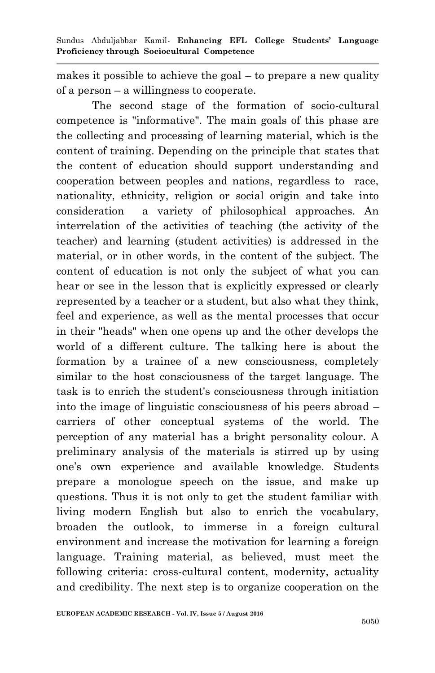makes it possible to achieve the goal – to prepare a new quality of a person – a willingness to cooperate.

The second stage of the formation of socio-cultural competence is "informative". The main goals of this phase are the collecting and processing of learning material, which is the content of training. Depending on the principle that states that the content of education should support understanding and cooperation between peoples and nations, regardless to race, nationality, ethnicity, religion or social origin and take into consideration a variety of philosophical approaches. An interrelation of the activities of teaching (the activity of the teacher) and learning (student activities) is addressed in the material, or in other words, in the content of the subject. The content of education is not only the subject of what you can hear or see in the lesson that is explicitly expressed or clearly represented by a teacher or a student, but also what they think, feel and experience, as well as the mental processes that occur in their "heads" when one opens up and the other develops the world of a different culture. The talking here is about the formation by a trainee of a new consciousness, completely similar to the host consciousness of the target language. The task is to enrich the student's consciousness through initiation into the image of linguistic consciousness of his peers abroad – carriers of other conceptual systems of the world. The perception of any material has a bright personality colour. A preliminary analysis of the materials is stirred up by using one's own experience and available knowledge. Students prepare a monologue speech on the issue, and make up questions. Thus it is not only to get the student familiar with living modern English but also to enrich the vocabulary, broaden the outlook, to immerse in a foreign cultural environment and increase the motivation for learning a foreign language. Training material, as believed, must meet the following criteria: cross-cultural content, modernity, actuality and credibility. The next step is to organize cooperation on the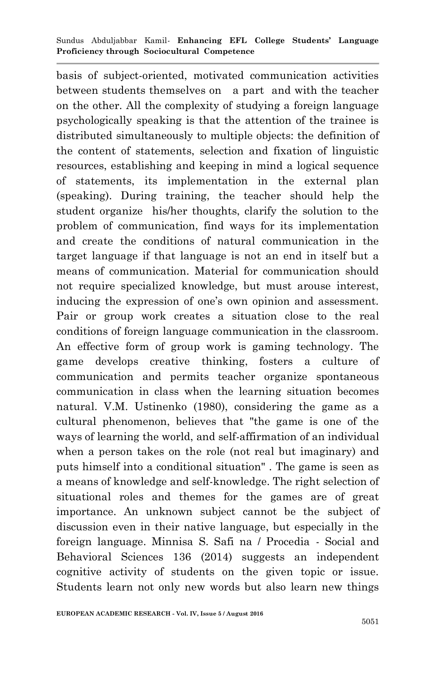basis of subject-oriented, motivated communication activities between students themselves on a part and with the teacher on the other. All the complexity of studying a foreign language psychologically speaking is that the attention of the trainee is distributed simultaneously to multiple objects: the definition of the content of statements, selection and fixation of linguistic resources, establishing and keeping in mind a logical sequence of statements, its implementation in the external plan (speaking). During training, the teacher should help the student organize his/her thoughts, clarify the solution to the problem of communication, find ways for its implementation and create the conditions of natural communication in the target language if that language is not an end in itself but a means of communication. Material for communication should not require specialized knowledge, but must arouse interest, inducing the expression of one's own opinion and assessment. Pair or group work creates a situation close to the real conditions of foreign language communication in the classroom. An effective form of group work is gaming technology. The game develops creative thinking, fosters a culture of communication and permits teacher organize spontaneous communication in class when the learning situation becomes natural. V.M. Ustinenko (1980), considering the game as a cultural phenomenon, believes that "the game is one of the ways of learning the world, and self-affirmation of an individual when a person takes on the role (not real but imaginary) and puts himself into a conditional situation" . The game is seen as a means of knowledge and self-knowledge. The right selection of situational roles and themes for the games are of great importance. An unknown subject cannot be the subject of discussion even in their native language, but especially in the foreign language. Minnisa S. Safi na / Procedia - Social and Behavioral Sciences 136 (2014) suggests an independent cognitive activity of students on the given topic or issue. Students learn not only new words but also learn new things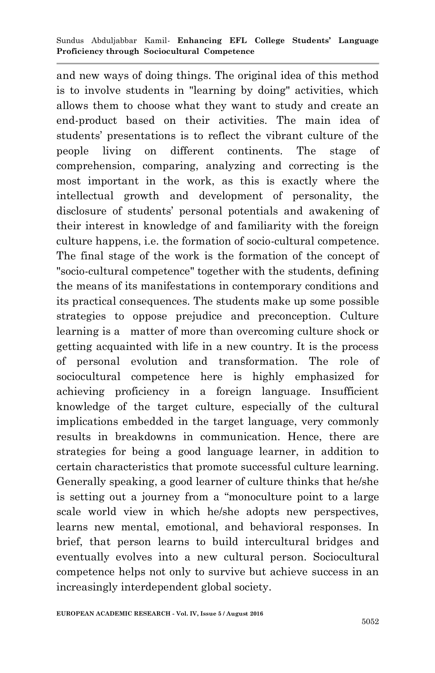and new ways of doing things. The original idea of this method is to involve students in "learning by doing" activities, which allows them to choose what they want to study and create an end-product based on their activities. The main idea of students' presentations is to reflect the vibrant culture of the people living on different continents. The stage of comprehension, comparing, analyzing and correcting is the most important in the work, as this is exactly where the intellectual growth and development of personality, the disclosure of students' personal potentials and awakening of their interest in knowledge of and familiarity with the foreign culture happens, i.e. the formation of socio-cultural competence. The final stage of the work is the formation of the concept of "socio-cultural competence" together with the students, defining the means of its manifestations in contemporary conditions and its practical consequences. The students make up some possible strategies to oppose prejudice and preconception. Culture learning is a matter of more than overcoming culture shock or getting acquainted with life in a new country. It is the process of personal evolution and transformation. The role of sociocultural competence here is highly emphasized for achieving proficiency in a foreign language. Insufficient knowledge of the target culture, especially of the cultural implications embedded in the target language, very commonly results in breakdowns in communication. Hence, there are strategies for being a good language learner, in addition to certain characteristics that promote successful culture learning. Generally speaking, a good learner of culture thinks that he/she is setting out a journey from a "monoculture point to a large scale world view in which he/she adopts new perspectives, learns new mental, emotional, and behavioral responses. In brief, that person learns to build intercultural bridges and eventually evolves into a new cultural person. Sociocultural competence helps not only to survive but achieve success in an increasingly interdependent global society.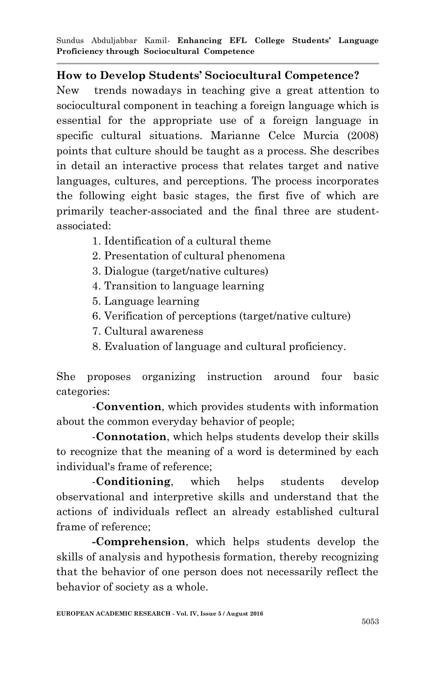## **How to Develop Students' Sociocultural Competence?**

New trends nowadays in teaching give a great attention to sociocultural component in teaching a foreign language which is essential for the appropriate use of a foreign language in specific cultural situations. Marianne Celce Murcia (2008) points that culture should be taught as a process. She describes in detail an interactive process that relates target and native languages, cultures, and perceptions. The process incorporates the following eight basic stages, the first five of which are primarily teacher-associated and the final three are studentassociated:

- 1. Identification of a cultural theme
- 2. Presentation of cultural phenomena
- 3. Dialogue (target/native cultures)
- 4. Transition to language learning
- 5. Language learning
- 6. Verification of perceptions (target/native culture)
- 7. Cultural awareness
- 8. Evaluation of language and cultural proficiency.

She proposes organizing instruction around four basic categories:

-**Convention**, which provides students with information about the common everyday behavior of people;

-**Connotation**, which helps students develop their skills to recognize that the meaning of a word is determined by each individual's frame of reference;

-**Conditioning**, which helps students develop observational and interpretive skills and understand that the actions of individuals reflect an already established cultural frame of reference;

**-Comprehension**, which helps students develop the skills of analysis and hypothesis formation, thereby recognizing that the behavior of one person does not necessarily reflect the behavior of society as a whole.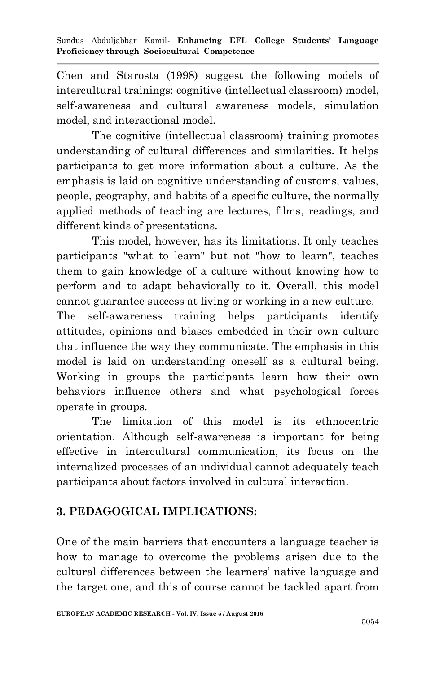Chen and Starosta (1998) suggest the following models of intercultural trainings: cognitive (intellectual classroom) model, self-awareness and cultural awareness models, simulation model, and interactional model.

The cognitive (intellectual classroom) training promotes understanding of cultural differences and similarities. It helps participants to get more information about a culture. As the emphasis is laid on cognitive understanding of customs, values, people, geography, and habits of a specific culture, the normally applied methods of teaching are lectures, films, readings, and different kinds of presentations.

This model, however, has its limitations. It only teaches participants "what to learn" but not "how to learn", teaches them to gain knowledge of a culture without knowing how to perform and to adapt behaviorally to it. Overall, this model cannot guarantee success at living or working in a new culture.

The self-awareness training helps participants identify attitudes, opinions and biases embedded in their own culture that influence the way they communicate. The emphasis in this model is laid on understanding oneself as a cultural being. Working in groups the participants learn how their own behaviors influence others and what psychological forces operate in groups.

The limitation of this model is its ethnocentric orientation. Although self-awareness is important for being effective in intercultural communication, its focus on the internalized processes of an individual cannot adequately teach participants about factors involved in cultural interaction.

## **3. PEDAGOGICAL IMPLICATIONS:**

One of the main barriers that encounters a language teacher is how to manage to overcome the problems arisen due to the cultural differences between the learners' native language and the target one, and this of course cannot be tackled apart from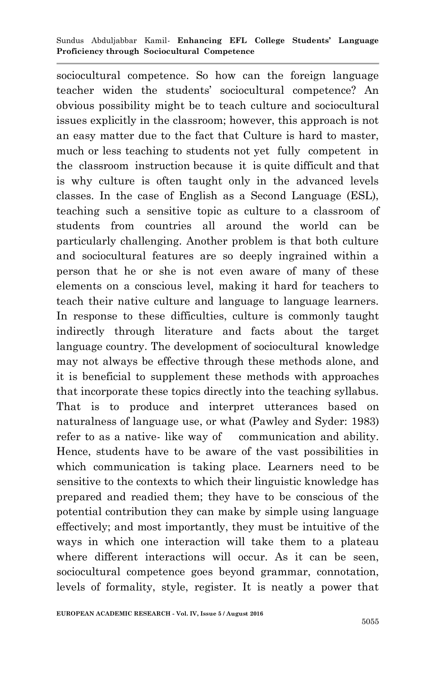sociocultural competence. So how can the foreign language teacher widen the students' sociocultural competence? An obvious possibility might be to teach culture and sociocultural issues explicitly in the classroom; however, this approach is not an easy matter due to the fact that Culture is hard to master, much or less teaching to students not yet fully competent in the classroom instruction because it is quite difficult and that is why culture is often taught only in the advanced levels classes. In the case of English as a Second Language (ESL), teaching such a sensitive topic as culture to a classroom of students from countries all around the world can be particularly challenging. Another problem is that both culture and sociocultural features are so deeply ingrained within a person that he or she is not even aware of many of these elements on a conscious level, making it hard for teachers to teach their native culture and language to language learners. In response to these difficulties, culture is commonly taught indirectly through literature and facts about the target language country. The development of sociocultural knowledge may not always be effective through these methods alone, and it is beneficial to supplement these methods with approaches that incorporate these topics directly into the teaching syllabus. That is to produce and interpret utterances based on naturalness of language use, or what (Pawley and Syder: 1983) refer to as a native-like way of communication and ability. Hence, students have to be aware of the vast possibilities in which communication is taking place. Learners need to be sensitive to the contexts to which their linguistic knowledge has prepared and readied them; they have to be conscious of the potential contribution they can make by simple using language effectively; and most importantly, they must be intuitive of the ways in which one interaction will take them to a plateau where different interactions will occur. As it can be seen, sociocultural competence goes beyond grammar, connotation, levels of formality, style, register. It is neatly a power that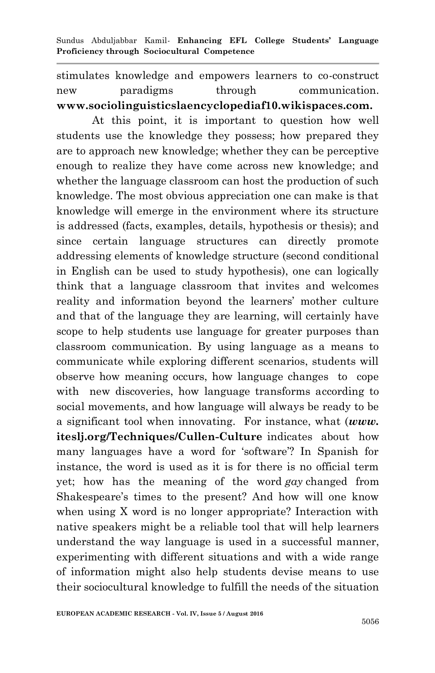stimulates knowledge and empowers learners to co-construct new paradigms through communication. **www.sociolinguisticslaencyclopediaf10.wikispaces.com.**

At this point, it is important to question how well students use the knowledge they possess; how prepared they are to approach new knowledge; whether they can be perceptive enough to realize they have come across new knowledge; and whether the language classroom can host the production of such knowledge. The most obvious appreciation one can make is that knowledge will emerge in the environment where its structure is addressed (facts, examples, details, hypothesis or thesis); and since certain language structures can directly promote addressing elements of knowledge structure (second conditional in English can be used to study hypothesis), one can logically think that a language classroom that invites and welcomes reality and information beyond the learners' mother culture and that of the language they are learning, will certainly have scope to help students use language for greater purposes than classroom communication. By using language as a means to communicate while exploring different scenarios, students will observe how meaning occurs, how language changes to cope with new discoveries, how language transforms according to social movements, and how language will always be ready to be a significant tool when innovating. For instance, what (*www.* **iteslj.org/Techniques/Cullen-Culture** indicates abouthow many languages have a word for 'software'? In Spanish for instance, the word is used as it is for there is no official term yet; how has the meaning of the word *gay* changed from Shakespeare's times to the present? And how will one know when using X word is no longer appropriate? Interaction with native speakers might be a reliable tool that will help learners understand the way language is used in a successful manner, experimenting with different situations and with a wide range of information might also help students devise means to use their sociocultural knowledge to fulfill the needs of the situation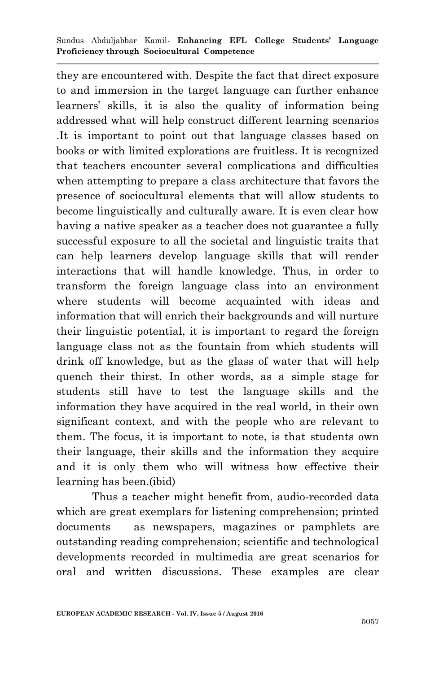they are encountered with. Despite the fact that direct exposure to and immersion in the target language can further enhance learners' skills, it is also the quality of information being addressed what will help construct different learning scenarios .It is important to point out that language classes based on books or with limited explorations are fruitless. It is recognized that teachers encounter several complications and difficulties when attempting to prepare a class architecture that favors the presence of sociocultural elements that will allow students to become linguistically and culturally aware. It is even clear how having a native speaker as a teacher does not guarantee a fully successful exposure to all the societal and linguistic traits that can help learners develop language skills that will render interactions that will handle knowledge. Thus, in order to transform the foreign language class into an environment where students will become acquainted with ideas and information that will enrich their backgrounds and will nurture their linguistic potential, it is important to regard the foreign language class not as the fountain from which students will drink off knowledge, but as the glass of water that will help quench their thirst. In other words, as a simple stage for students still have to test the language skills and the information they have acquired in the real world, in their own significant context, and with the people who are relevant to them. The focus, it is important to note, is that students own their language, their skills and the information they acquire and it is only them who will witness how effective their learning has been.(ibid)

Thus a teacher might benefit from, audio-recorded data which are great exemplars for listening comprehension; printed documents as newspapers, magazines or pamphlets are outstanding reading comprehension; scientific and technological developments recorded in multimedia are great scenarios for oral and written discussions. These examples are clear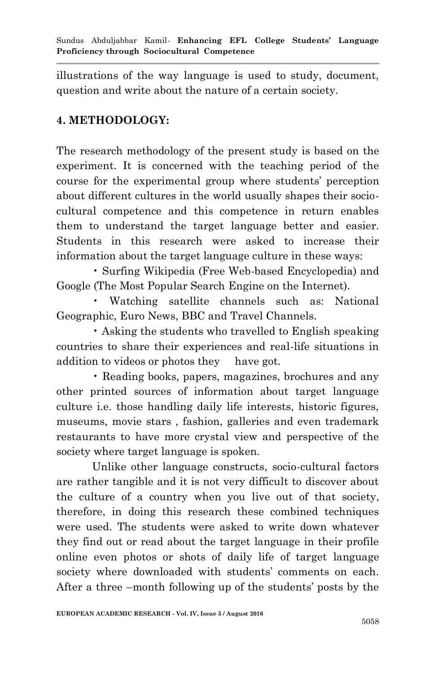illustrations of the way language is used to study, document, question and write about the nature of a certain society.

## **4. METHODOLOGY:**

The research methodology of the present study is based on the experiment. It is concerned with the teaching period of the course for the experimental group where students' perception about different cultures in the world usually shapes their sociocultural competence and this competence in return enables them to understand the target language better and easier. Students in this research were asked to increase their information about the target language culture in these ways:

• Surfing Wikipedia (Free Web-based Encyclopedia) and Google (The Most Popular Search Engine on the Internet).

• Watching satellite channels such as: National Geographic, Euro News, BBC and Travel Channels.

• Asking the students who travelled to English speaking countries to share their experiences and real-life situations in addition to videos or photos they have got.

• Reading books, papers, magazines, brochures and any other printed sources of information about target language culture i.e. those handling daily life interests, historic figures, museums, movie stars , fashion, galleries and even trademark restaurants to have more crystal view and perspective of the society where target language is spoken.

Unlike other language constructs, socio-cultural factors are rather tangible and it is not very difficult to discover about the culture of a country when you live out of that society, therefore, in doing this research these combined techniques were used. The students were asked to write down whatever they find out or read about the target language in their profile online even photos or shots of daily life of target language society where downloaded with students' comments on each. After a three –month following up of the students' posts by the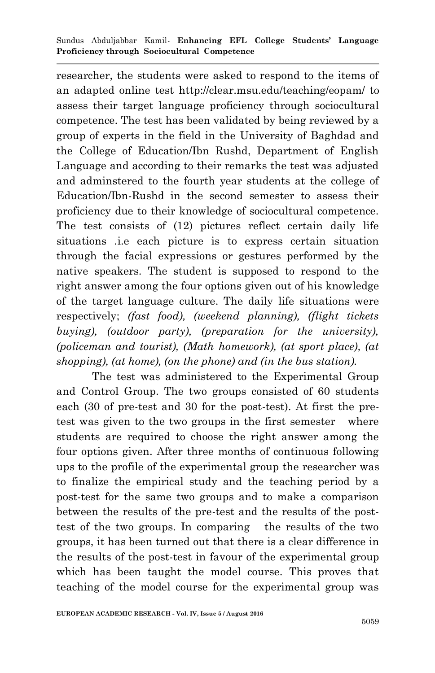researcher, the students were asked to respond to the items of an adapted online test http://clear.msu.edu/teaching/eopam/ to assess their target language proficiency through sociocultural competence. The test has been validated by being reviewed by a group of experts in the field in the University of Baghdad and the College of Education/Ibn Rushd, Department of English Language and according to their remarks the test was adjusted and adminstered to the fourth year students at the college of Education/Ibn-Rushd in the second semester to assess their proficiency due to their knowledge of sociocultural competence. The test consists of (12) pictures reflect certain daily life situations .i.e each picture is to express certain situation through the facial expressions or gestures performed by the native speakers. The student is supposed to respond to the right answer among the four options given out of his knowledge of the target language culture. The daily life situations were respectively; *(fast food), (weekend planning), (flight tickets buying), (outdoor party), (preparation for the university), (policeman and tourist), (Math homework), (at sport place), (at shopping), (at home), (on the phone) and (in the bus station).*

The test was administered to the Experimental Group and Control Group. The two groups consisted of 60 students each (30 of pre-test and 30 for the post-test). At first the pretest was given to the two groups in the first semester where students are required to choose the right answer among the four options given. After three months of continuous following ups to the profile of the experimental group the researcher was to finalize the empirical study and the teaching period by a post-test for the same two groups and to make a comparison between the results of the pre-test and the results of the posttest of the two groups. In comparing the results of the two groups, it has been turned out that there is a clear difference in the results of the post-test in favour of the experimental group which has been taught the model course. This proves that teaching of the model course for the experimental group was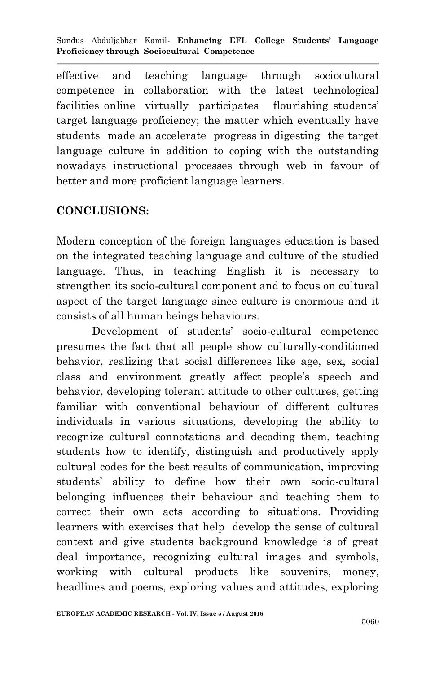effective and teaching language through sociocultural competence in collaboration with the latest technological facilities online virtually participates flourishing students' target language proficiency; the matter which eventually have students made an accelerate progress in digesting the target language culture in addition to coping with the outstanding nowadays instructional processes through web in favour of better and more proficient language learners.

## **CONCLUSIONS:**

Modern conception of the foreign languages education is based on the integrated teaching language and culture of the studied language. Thus, in teaching English it is necessary to strengthen its socio-cultural component and to focus on cultural aspect of the target language since culture is enormous and it consists of all human beings behaviours.

Development of students' socio-cultural competence presumes the fact that all people show culturally-conditioned behavior, realizing that social differences like age, sex, social class and environment greatly affect people's speech and behavior, developing tolerant attitude to other cultures, getting familiar with conventional behaviour of different cultures individuals in various situations, developing the ability to recognize cultural connotations and decoding them, teaching students how to identify, distinguish and productively apply cultural codes for the best results of communication, improving students' ability to define how their own socio-cultural belonging influences their behaviour and teaching them to correct their own acts according to situations. Providing learners with exercises that help develop the sense of cultural context and give students background knowledge is of great deal importance, recognizing cultural images and symbols, working with cultural products like souvenirs, money, headlines and poems, exploring values and attitudes, exploring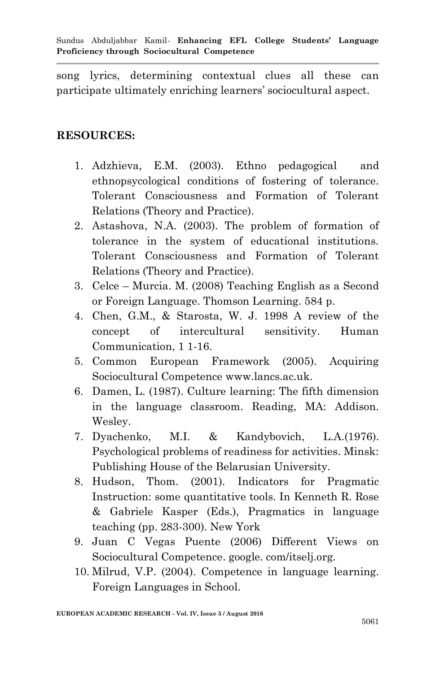song lyrics, determining contextual clues all these can participate ultimately enriching learners' sociocultural aspect.

## **RESOURCES:**

- 1. Adzhieva, E.M. (2003). Ethno pedagogical and ethnopsycological conditions of fostering of tolerance. Tolerant Consciousness and Formation of Tolerant Relations (Theory and Practice).
- 2. Astashova, N.A. (2003). The problem of formation of tolerance in the system of educational institutions. Tolerant Consciousness and Formation of Tolerant Relations (Theory and Practice).
- 3. Celce Murcia. M. (2008) Teaching English as a Second or Foreign Language. Thomson Learning. 584 p.
- 4. Chen, G.M., & Starosta, W. J. 1998 A review of the concept of intercultural sensitivity. Human Communication, 1 1-16.
- 5. Common European Framework (2005). Acquiring Sociocultural Competence www.lancs.ac.uk.
- 6. Damen, L. (1987). Culture learning: The fifth dimension in the language classroom. Reading, MA: Addison. Wesley.
- 7. Dyachenko, M.I. & Kandybovich, L.A.(1976). Psychological problems of readiness for activities. Minsk: Publishing House of the Belarusian University.
- 8. Hudson, Thom. (2001). Indicators for Pragmatic Instruction: some quantitative tools. In Kenneth R. Rose & Gabriele Kasper (Eds.), Pragmatics in language teaching (pp. 283-300). New York
- 9. Juan C Vegas Puente (2006) Different Views on Sociocultural Competence. google. com/itselj.org.
- 10. Milrud, V.P. (2004). Competence in language learning. Foreign Languages in School.